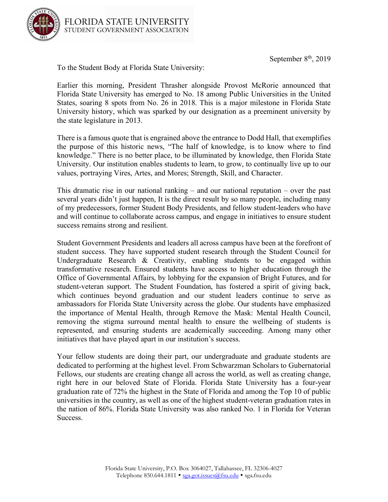September  $8<sup>th</sup>$ , 2019



To the Student Body at Florida State University:

Earlier this morning, President Thrasher alongside Provost McRorie announced that Florida State University has emerged to No. 18 among Public Universities in the United States, soaring 8 spots from No. 26 in 2018. This is a major milestone in Florida State University history, which was sparked by our designation as a preeminent university by the state legislature in 2013.

There is a famous quote that is engrained above the entrance to Dodd Hall, that exemplifies the purpose of this historic news, "The half of knowledge, is to know where to find knowledge." There is no better place, to be illuminated by knowledge, then Florida State University. Our institution enables students to learn, to grow, to continually live up to our values, portraying Vires, Artes, and Mores; Strength, Skill, and Character.

This dramatic rise in our national ranking – and our national reputation – over the past several years didn't just happen, It is the direct result by so many people, including many of my predecessors, former Student Body Presidents, and fellow student-leaders who have and will continue to collaborate across campus, and engage in initiatives to ensure student success remains strong and resilient.

Student Government Presidents and leaders all across campus have been at the forefront of student success. They have supported student research through the Student Council for Undergraduate Research & Creativity, enabling students to be engaged within transformative research. Ensured students have access to higher education through the Office of Governmental Affairs, by lobbying for the expansion of Bright Futures, and for student-veteran support. The Student Foundation, has fostered a spirit of giving back, which continues beyond graduation and our student leaders continue to serve as ambassadors for Florida State University across the globe. Our students have emphasized the importance of Mental Health, through Remove the Mask: Mental Health Council, removing the stigma surround mental health to ensure the wellbeing of students is represented, and ensuring students are academically succeeding. Among many other initiatives that have played apart in our institution's success.

Your fellow students are doing their part, our undergraduate and graduate students are dedicated to performing at the highest level. From Schwarzman Scholars to Gubernatorial Fellows, our students are creating change all across the world, as well as creating change, right here in our beloved State of Florida. Florida State University has a four-year graduation rate of 72% the highest in the State of Florida and among the Top 10 of public universities in the country, as well as one of the highest student-veteran graduation rates in the nation of 86%. Florida State University was also ranked No. 1 in Florida for Veteran Success.